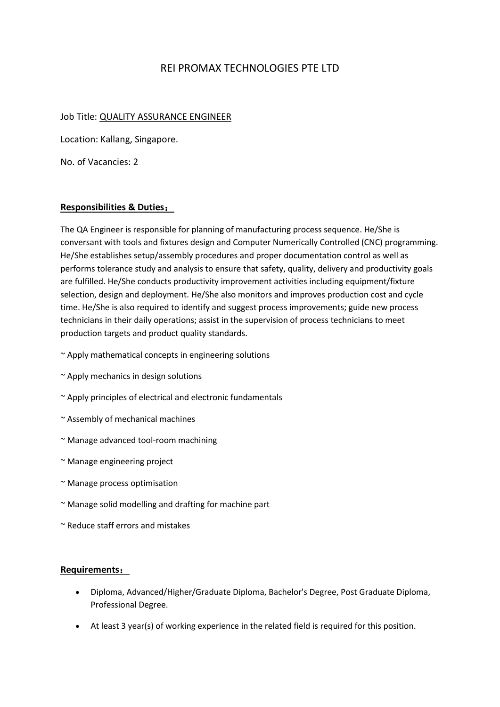## REI PROMAX TECHNOLOGIES PTE LTD

## Job Title: QUALITY ASSURANCE ENGINEER

Location: Kallang, Singapore.

No. of Vacancies: 2

## **Responsibilities & Duties**:

The QA Engineer is responsible for planning of manufacturing process sequence. He/She is conversant with tools and fixtures design and Computer Numerically Controlled (CNC) programming. He/She establishes setup/assembly procedures and proper documentation control as well as performs tolerance study and analysis to ensure that safety, quality, delivery and productivity goals are fulfilled. He/She conducts productivity improvement activities including equipment/fixture selection, design and deployment. He/She also monitors and improves production cost and cycle time. He/She is also required to identify and suggest process improvements; guide new process technicians in their daily operations; assist in the supervision of process technicians to meet production targets and product quality standards.

- ~ Apply mathematical concepts in engineering solutions
- ~ Apply mechanics in design solutions
- ~ Apply principles of electrical and electronic fundamentals
- ~ Assembly of mechanical machines
- ~ Manage advanced tool-room machining
- ~ Manage engineering project
- ~ Manage process optimisation
- ~ Manage solid modelling and drafting for machine part
- ~ Reduce staff errors and mistakes

## **Requirements**:

- Diploma, Advanced/Higher/Graduate Diploma, Bachelor's Degree, Post Graduate Diploma, Professional Degree.
- At least 3 year(s) of working experience in the related field is required for this position.